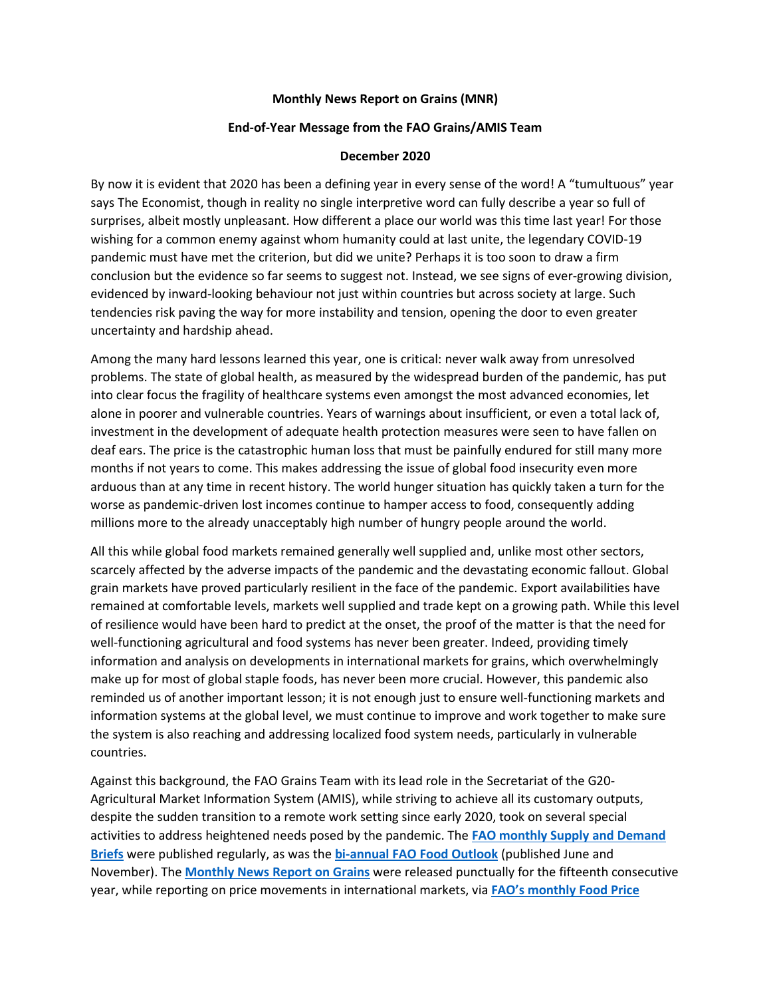## **Monthly News Report on Grains (MNR)**

## **End-of-Year Message from the FAO Grains/AMIS Team**

## **December 2020**

By now it is evident that 2020 has been a defining year in every sense of the word! A "tumultuous" year says The Economist, though in reality no single interpretive word can fully describe a year so full of surprises, albeit mostly unpleasant. How different a place our world was this time last year! For those wishing for a common enemy against whom humanity could at last unite, the legendary COVID-19 pandemic must have met the criterion, but did we unite? Perhaps it is too soon to draw a firm conclusion but the evidence so far seems to suggest not. Instead, we see signs of ever-growing division, evidenced by inward-looking behaviour not just within countries but across society at large. Such tendencies risk paving the way for more instability and tension, opening the door to even greater uncertainty and hardship ahead.

Among the many hard lessons learned this year, one is critical: never walk away from unresolved problems. The state of global health, as measured by the widespread burden of the pandemic, has put into clear focus the fragility of healthcare systems even amongst the most advanced economies, let alone in poorer and vulnerable countries. Years of warnings about insufficient, or even a total lack of, investment in the development of adequate health protection measures were seen to have fallen on deaf ears. The price is the catastrophic human loss that must be painfully endured for still many more months if not years to come. This makes addressing the issue of global food insecurity even more arduous than at any time in recent history. The world hunger situation has quickly taken a turn for the worse as pandemic-driven lost incomes continue to hamper access to food, consequently adding millions more to the already unacceptably high number of hungry people around the world.

All this while global food markets remained generally well supplied and, unlike most other sectors, scarcely affected by the adverse impacts of the pandemic and the devastating economic fallout. Global grain markets have proved particularly resilient in the face of the pandemic. Export availabilities have remained at comfortable levels, markets well supplied and trade kept on a growing path. While this level of resilience would have been hard to predict at the onset, the proof of the matter is that the need for well-functioning agricultural and food systems has never been greater. Indeed, providing timely information and analysis on developments in international markets for grains, which overwhelmingly make up for most of global staple foods, has never been more crucial. However, this pandemic also reminded us of another important lesson; it is not enough just to ensure well-functioning markets and information systems at the global level, we must continue to improve and work together to make sure the system is also reaching and addressing localized food system needs, particularly in vulnerable countries.

Against this background, the FAO Grains Team with its lead role in the Secretariat of the G20- Agricultural Market Information System (AMIS), while striving to achieve all its customary outputs, despite the sudden transition to a remote work setting since early 2020, took on several special activities to address heightened needs posed by the pandemic. The **[FAO monthly Supply and Demand](http://www.fao.org/worldfoodsituation/csdb/en/)  [Briefs](http://www.fao.org/worldfoodsituation/csdb/en/)** were published regularly, as was the **[bi-annual FAO Food Outlook](http://www.fao.org/giews/reports/food-outlook/en/)** (published June and November). The **[Monthly News Report on Grains](http://www.fao.org/economic/est/publications/grains-publications/monthly-news-report-on-grains-mnr/en/)** were released punctually for the fifteenth consecutive year, while reporting on price movements in international markets, via **[FAO's monthly Food Price](http://www.fao.org/worldfoodsituation/foodpricesindex/en/)**